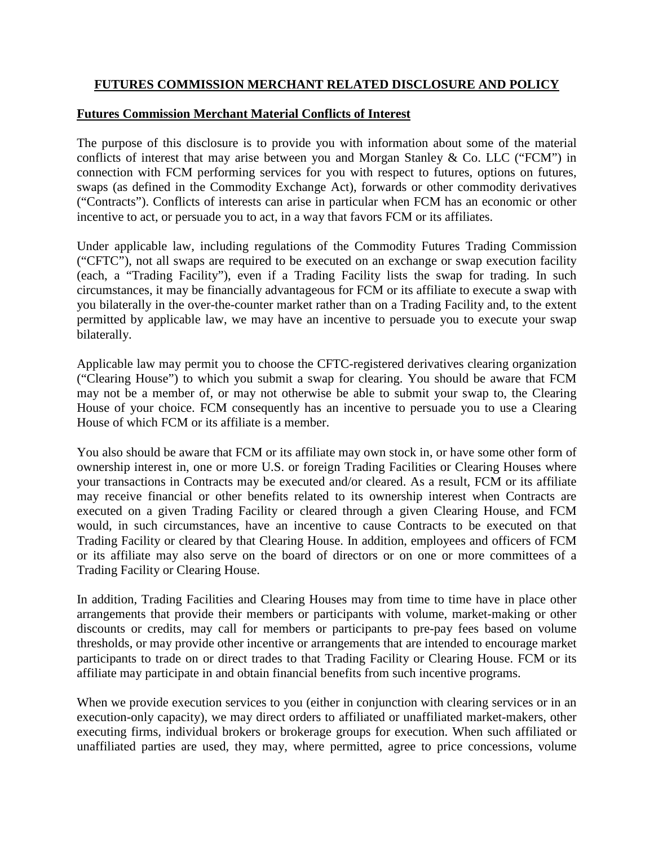# **FUTURES COMMISSION MERCHANT RELATED DISCLOSURE AND POLICY**

## **Futures Commission Merchant Material Conflicts of Interest**

The purpose of this disclosure is to provide you with information about some of the material conflicts of interest that may arise between you and Morgan Stanley & Co. LLC ("FCM") in connection with FCM performing services for you with respect to futures, options on futures, swaps (as defined in the Commodity Exchange Act), forwards or other commodity derivatives ("Contracts"). Conflicts of interests can arise in particular when FCM has an economic or other incentive to act, or persuade you to act, in a way that favors FCM or its affiliates.

Under applicable law, including regulations of the Commodity Futures Trading Commission ("CFTC"), not all swaps are required to be executed on an exchange or swap execution facility (each, a "Trading Facility"), even if a Trading Facility lists the swap for trading. In such circumstances, it may be financially advantageous for FCM or its affiliate to execute a swap with you bilaterally in the over-the-counter market rather than on a Trading Facility and, to the extent permitted by applicable law, we may have an incentive to persuade you to execute your swap bilaterally.

Applicable law may permit you to choose the CFTC-registered derivatives clearing organization ("Clearing House") to which you submit a swap for clearing. You should be aware that FCM may not be a member of, or may not otherwise be able to submit your swap to, the Clearing House of your choice. FCM consequently has an incentive to persuade you to use a Clearing House of which FCM or its affiliate is a member.

You also should be aware that FCM or its affiliate may own stock in, or have some other form of ownership interest in, one or more U.S. or foreign Trading Facilities or Clearing Houses where your transactions in Contracts may be executed and/or cleared. As a result, FCM or its affiliate may receive financial or other benefits related to its ownership interest when Contracts are executed on a given Trading Facility or cleared through a given Clearing House, and FCM would, in such circumstances, have an incentive to cause Contracts to be executed on that Trading Facility or cleared by that Clearing House. In addition, employees and officers of FCM or its affiliate may also serve on the board of directors or on one or more committees of a Trading Facility or Clearing House.

In addition, Trading Facilities and Clearing Houses may from time to time have in place other arrangements that provide their members or participants with volume, market-making or other discounts or credits, may call for members or participants to pre-pay fees based on volume thresholds, or may provide other incentive or arrangements that are intended to encourage market participants to trade on or direct trades to that Trading Facility or Clearing House. FCM or its affiliate may participate in and obtain financial benefits from such incentive programs.

When we provide execution services to you (either in conjunction with clearing services or in an execution-only capacity), we may direct orders to affiliated or unaffiliated market-makers, other executing firms, individual brokers or brokerage groups for execution. When such affiliated or unaffiliated parties are used, they may, where permitted, agree to price concessions, volume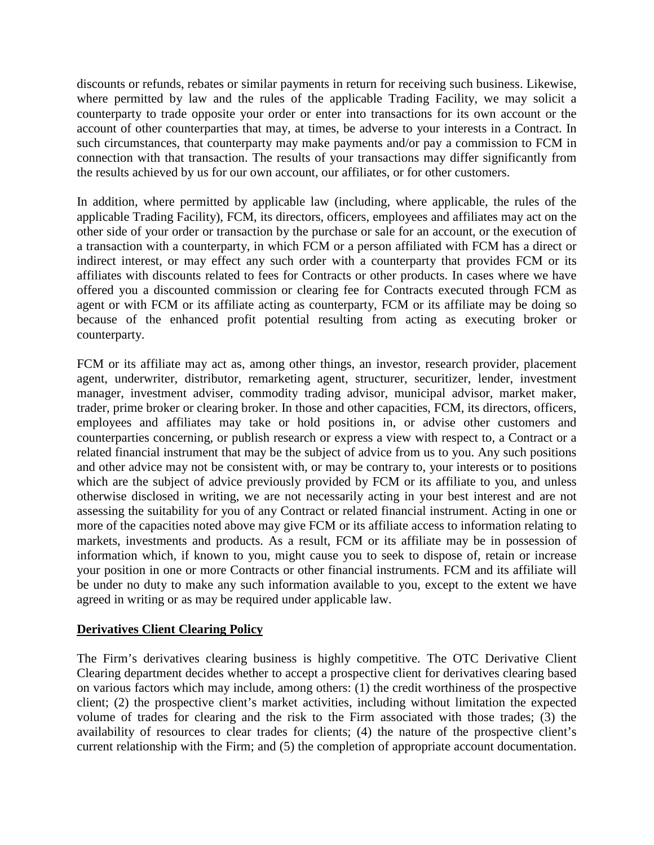discounts or refunds, rebates or similar payments in return for receiving such business. Likewise, where permitted by law and the rules of the applicable Trading Facility, we may solicit a counterparty to trade opposite your order or enter into transactions for its own account or the account of other counterparties that may, at times, be adverse to your interests in a Contract. In such circumstances, that counterparty may make payments and/or pay a commission to FCM in connection with that transaction. The results of your transactions may differ significantly from the results achieved by us for our own account, our affiliates, or for other customers.

In addition, where permitted by applicable law (including, where applicable, the rules of the applicable Trading Facility), FCM, its directors, officers, employees and affiliates may act on the other side of your order or transaction by the purchase or sale for an account, or the execution of a transaction with a counterparty, in which FCM or a person affiliated with FCM has a direct or indirect interest, or may effect any such order with a counterparty that provides FCM or its affiliates with discounts related to fees for Contracts or other products. In cases where we have offered you a discounted commission or clearing fee for Contracts executed through FCM as agent or with FCM or its affiliate acting as counterparty, FCM or its affiliate may be doing so because of the enhanced profit potential resulting from acting as executing broker or counterparty.

FCM or its affiliate may act as, among other things, an investor, research provider, placement agent, underwriter, distributor, remarketing agent, structurer, securitizer, lender, investment manager, investment adviser, commodity trading advisor, municipal advisor, market maker, trader, prime broker or clearing broker. In those and other capacities, FCM, its directors, officers, employees and affiliates may take or hold positions in, or advise other customers and counterparties concerning, or publish research or express a view with respect to, a Contract or a related financial instrument that may be the subject of advice from us to you. Any such positions and other advice may not be consistent with, or may be contrary to, your interests or to positions which are the subject of advice previously provided by FCM or its affiliate to you, and unless otherwise disclosed in writing, we are not necessarily acting in your best interest and are not assessing the suitability for you of any Contract or related financial instrument. Acting in one or more of the capacities noted above may give FCM or its affiliate access to information relating to markets, investments and products. As a result, FCM or its affiliate may be in possession of information which, if known to you, might cause you to seek to dispose of, retain or increase your position in one or more Contracts or other financial instruments. FCM and its affiliate will be under no duty to make any such information available to you, except to the extent we have agreed in writing or as may be required under applicable law.

#### **Derivatives Client Clearing Policy**

The Firm's derivatives clearing business is highly competitive. The OTC Derivative Client Clearing department decides whether to accept a prospective client for derivatives clearing based on various factors which may include, among others: (1) the credit worthiness of the prospective client; (2) the prospective client's market activities, including without limitation the expected volume of trades for clearing and the risk to the Firm associated with those trades; (3) the availability of resources to clear trades for clients; (4) the nature of the prospective client's current relationship with the Firm; and (5) the completion of appropriate account documentation.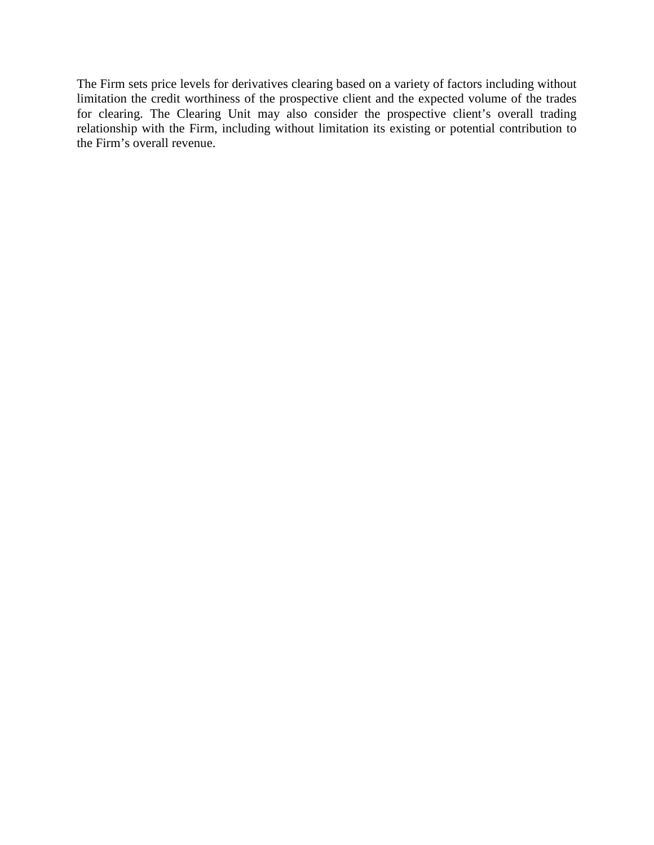The Firm sets price levels for derivatives clearing based on a variety of factors including without limitation the credit worthiness of the prospective client and the expected volume of the trades for clearing. The Clearing Unit may also consider the prospective client's overall trading relationship with the Firm, including without limitation its existing or potential contribution to the Firm's overall revenue.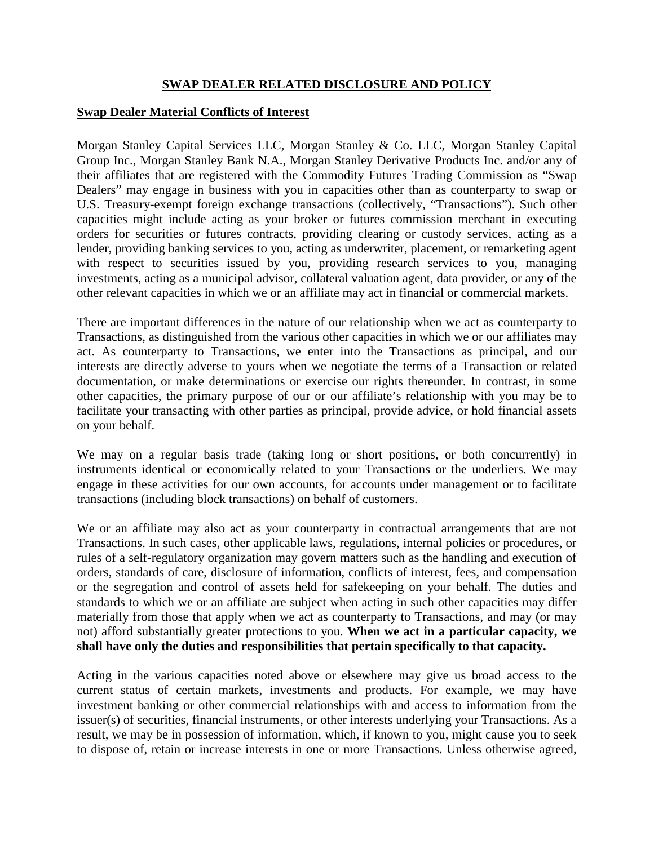# **SWAP DEALER RELATED DISCLOSURE AND POLICY**

#### **Swap Dealer Material Conflicts of Interest**

Morgan Stanley Capital Services LLC, Morgan Stanley & Co. LLC, Morgan Stanley Capital Group Inc., Morgan Stanley Bank N.A., Morgan Stanley Derivative Products Inc. and/or any of their affiliates that are registered with the Commodity Futures Trading Commission as "Swap Dealers" may engage in business with you in capacities other than as counterparty to swap or U.S. Treasury-exempt foreign exchange transactions (collectively, "Transactions"). Such other capacities might include acting as your broker or futures commission merchant in executing orders for securities or futures contracts, providing clearing or custody services, acting as a lender, providing banking services to you, acting as underwriter, placement, or remarketing agent with respect to securities issued by you, providing research services to you, managing investments, acting as a municipal advisor, collateral valuation agent, data provider, or any of the other relevant capacities in which we or an affiliate may act in financial or commercial markets.

There are important differences in the nature of our relationship when we act as counterparty to Transactions, as distinguished from the various other capacities in which we or our affiliates may act. As counterparty to Transactions, we enter into the Transactions as principal, and our interests are directly adverse to yours when we negotiate the terms of a Transaction or related documentation, or make determinations or exercise our rights thereunder. In contrast, in some other capacities, the primary purpose of our or our affiliate's relationship with you may be to facilitate your transacting with other parties as principal, provide advice, or hold financial assets on your behalf.

We may on a regular basis trade (taking long or short positions, or both concurrently) in instruments identical or economically related to your Transactions or the underliers. We may engage in these activities for our own accounts, for accounts under management or to facilitate transactions (including block transactions) on behalf of customers.

We or an affiliate may also act as your counterparty in contractual arrangements that are not Transactions. In such cases, other applicable laws, regulations, internal policies or procedures, or rules of a self-regulatory organization may govern matters such as the handling and execution of orders, standards of care, disclosure of information, conflicts of interest, fees, and compensation or the segregation and control of assets held for safekeeping on your behalf. The duties and standards to which we or an affiliate are subject when acting in such other capacities may differ materially from those that apply when we act as counterparty to Transactions, and may (or may not) afford substantially greater protections to you. **When we act in a particular capacity, we shall have only the duties and responsibilities that pertain specifically to that capacity.** 

Acting in the various capacities noted above or elsewhere may give us broad access to the current status of certain markets, investments and products. For example, we may have investment banking or other commercial relationships with and access to information from the issuer(s) of securities, financial instruments, or other interests underlying your Transactions. As a result, we may be in possession of information, which, if known to you, might cause you to seek to dispose of, retain or increase interests in one or more Transactions. Unless otherwise agreed,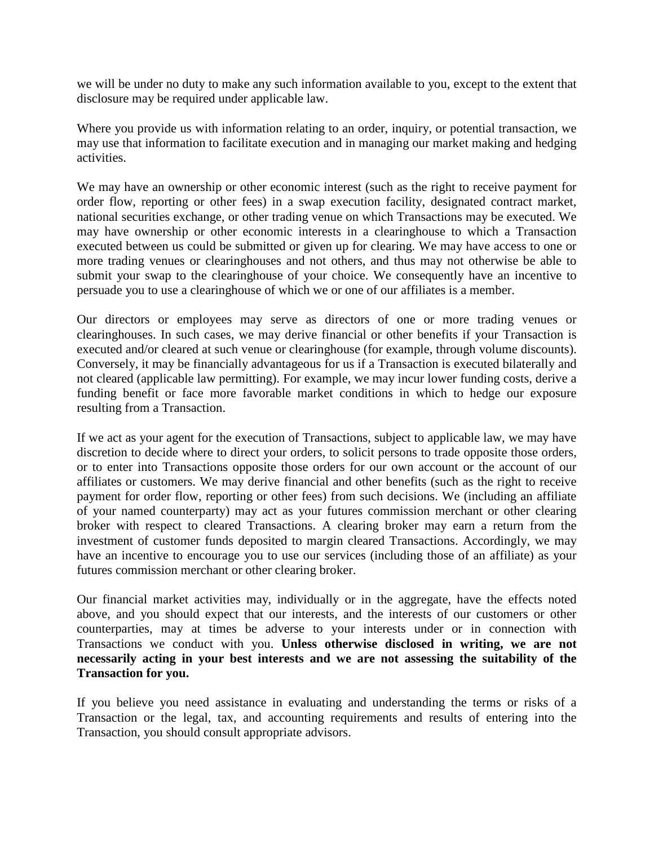we will be under no duty to make any such information available to you, except to the extent that disclosure may be required under applicable law.

Where you provide us with information relating to an order, inquiry, or potential transaction, we may use that information to facilitate execution and in managing our market making and hedging activities.

We may have an ownership or other economic interest (such as the right to receive payment for order flow, reporting or other fees) in a swap execution facility, designated contract market, national securities exchange, or other trading venue on which Transactions may be executed. We may have ownership or other economic interests in a clearinghouse to which a Transaction executed between us could be submitted or given up for clearing. We may have access to one or more trading venues or clearinghouses and not others, and thus may not otherwise be able to submit your swap to the clearinghouse of your choice. We consequently have an incentive to persuade you to use a clearinghouse of which we or one of our affiliates is a member.

Our directors or employees may serve as directors of one or more trading venues or clearinghouses. In such cases, we may derive financial or other benefits if your Transaction is executed and/or cleared at such venue or clearinghouse (for example, through volume discounts). Conversely, it may be financially advantageous for us if a Transaction is executed bilaterally and not cleared (applicable law permitting). For example, we may incur lower funding costs, derive a funding benefit or face more favorable market conditions in which to hedge our exposure resulting from a Transaction.

If we act as your agent for the execution of Transactions, subject to applicable law, we may have discretion to decide where to direct your orders, to solicit persons to trade opposite those orders, or to enter into Transactions opposite those orders for our own account or the account of our affiliates or customers. We may derive financial and other benefits (such as the right to receive payment for order flow, reporting or other fees) from such decisions. We (including an affiliate of your named counterparty) may act as your futures commission merchant or other clearing broker with respect to cleared Transactions. A clearing broker may earn a return from the investment of customer funds deposited to margin cleared Transactions. Accordingly, we may have an incentive to encourage you to use our services (including those of an affiliate) as your futures commission merchant or other clearing broker.

Our financial market activities may, individually or in the aggregate, have the effects noted above, and you should expect that our interests, and the interests of our customers or other counterparties, may at times be adverse to your interests under or in connection with Transactions we conduct with you. **Unless otherwise disclosed in writing, we are not necessarily acting in your best interests and we are not assessing the suitability of the Transaction for you.** 

If you believe you need assistance in evaluating and understanding the terms or risks of a Transaction or the legal, tax, and accounting requirements and results of entering into the Transaction, you should consult appropriate advisors.